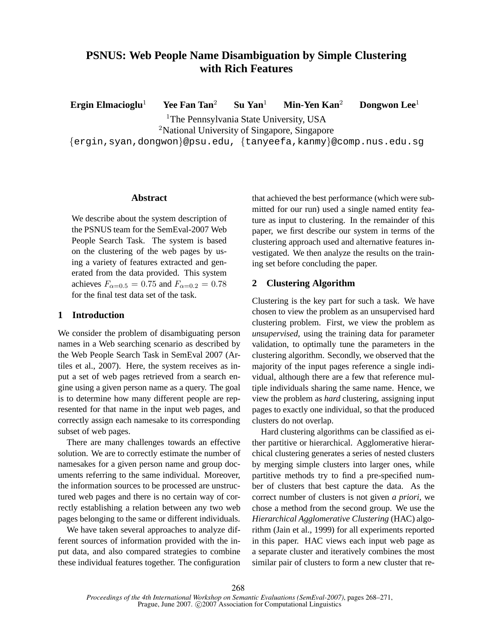# **PSNUS: Web People Name Disambiguation by Simple Clustering with Rich Features**

**Ergin Elmacioglu**<sup>1</sup> **Yee Fan Tan**<sup>2</sup> **Su Yan**<sup>1</sup> **Min-Yen Kan**<sup>2</sup> **Dongwon Lee**<sup>1</sup>

<sup>1</sup>The Pennsylvania State University, USA

<sup>2</sup>National University of Singapore, Singapore

{ergin,syan,dongwon}@psu.edu, {tanyeefa,kanmy}@comp.nus.edu.sg

#### **Abstract**

We describe about the system description of the PSNUS team for the SemEval-2007 Web People Search Task. The system is based on the clustering of the web pages by using a variety of features extracted and generated from the data provided. This system achieves  $F_{\alpha=0.5} = 0.75$  and  $F_{\alpha=0.2} = 0.78$ for the final test data set of the task.

## **1 Introduction**

We consider the problem of disambiguating person names in a Web searching scenario as described by the Web People Search Task in SemEval 2007 (Artiles et al., 2007). Here, the system receives as input a set of web pages retrieved from a search engine using a given person name as a query. The goal is to determine how many different people are represented for that name in the input web pages, and correctly assign each namesake to its corresponding subset of web pages.

There are many challenges towards an effective solution. We are to correctly estimate the number of namesakes for a given person name and group documents referring to the same individual. Moreover, the information sources to be processed are unstructured web pages and there is no certain way of correctly establishing a relation between any two web pages belonging to the same or different individuals.

We have taken several approaches to analyze different sources of information provided with the input data, and also compared strategies to combine these individual features together. The configuration

that achieved the best performance (which were submitted for our run) used a single named entity feature as input to clustering. In the remainder of this paper, we first describe our system in terms of the clustering approach used and alternative features investigated. We then analyze the results on the training set before concluding the paper.

# **2 Clustering Algorithm**

Clustering is the key part for such a task. We have chosen to view the problem as an unsupervised hard clustering problem. First, we view the problem as *unsupervised*, using the training data for parameter validation, to optimally tune the parameters in the clustering algorithm. Secondly, we observed that the majority of the input pages reference a single individual, although there are a few that reference multiple individuals sharing the same name. Hence, we view the problem as *hard* clustering, assigning input pages to exactly one individual, so that the produced clusters do not overlap.

Hard clustering algorithms can be classified as either partitive or hierarchical. Agglomerative hierarchical clustering generates a series of nested clusters by merging simple clusters into larger ones, while partitive methods try to find a pre-specified number of clusters that best capture the data. As the correct number of clusters is not given *a priori*, we chose a method from the second group. We use the *Hierarchical Agglomerative Clustering* (HAC) algorithm (Jain et al., 1999) for all experiments reported in this paper. HAC views each input web page as a separate cluster and iteratively combines the most similar pair of clusters to form a new cluster that re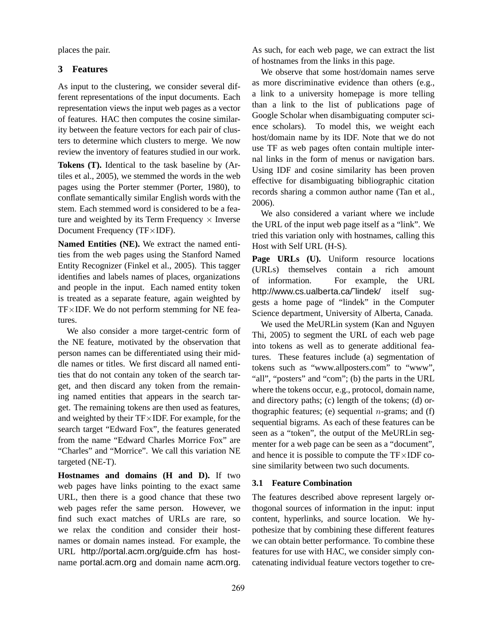places the pair.

#### **3 Features**

As input to the clustering, we consider several different representations of the input documents. Each representation views the input web pages as a vector of features. HAC then computes the cosine similarity between the feature vectors for each pair of clusters to determine which clusters to merge. We now review the inventory of features studied in our work.

**Tokens (T).** Identical to the task baseline by (Artiles et al., 2005), we stemmed the words in the web pages using the Porter stemmer (Porter, 1980), to conflate semantically similar English words with the stem. Each stemmed word is considered to be a feature and weighted by its Term Frequency  $\times$  Inverse Document Frequency (TF×IDF).

**Named Entities (NE).** We extract the named entities from the web pages using the Stanford Named Entity Recognizer (Finkel et al., 2005). This tagger identifies and labels names of places, organizations and people in the input. Each named entity token is treated as a separate feature, again weighted by  $TF\times IDF$ . We do not perform stemming for NE features.

We also consider a more target-centric form of the NE feature, motivated by the observation that person names can be differentiated using their middle names or titles. We first discard all named entities that do not contain any token of the search target, and then discard any token from the remaining named entities that appears in the search target. The remaining tokens are then used as features, and weighted by their  $TF \times IDF$ . For example, for the search target "Edward Fox", the features generated from the name "Edward Charles Morrice Fox" are "Charles" and "Morrice". We call this variation NE targeted (NE-T).

**Hostnames and domains (H and D).** If two web pages have links pointing to the exact same URL, then there is a good chance that these two web pages refer the same person. However, we find such exact matches of URLs are rare, so we relax the condition and consider their hostnames or domain names instead. For example, the URL http://portal.acm.org/guide.cfm has hostname portal.acm.org and domain name acm.org.

As such, for each web page, we can extract the list of hostnames from the links in this page.

We observe that some host/domain names serve as more discriminative evidence than others (e.g., a link to a university homepage is more telling than a link to the list of publications page of Google Scholar when disambiguating computer science scholars). To model this, we weight each host/domain name by its IDF. Note that we do not use TF as web pages often contain multiple internal links in the form of menus or navigation bars. Using IDF and cosine similarity has been proven effective for disambiguating bibliographic citation records sharing a common author name (Tan et al., 2006).

We also considered a variant where we include the URL of the input web page itself as a "link". We tried this variation only with hostnames, calling this Host with Self URL (H-S).

Page URLs (U). Uniform resource locations (URLs) themselves contain a rich amount of information. For example, the URL http://www.cs.ualberta.ca/"lindek/ itself suggests a home page of "lindek" in the Computer Science department, University of Alberta, Canada.

We used the MeURLin system (Kan and Nguyen Thi, 2005) to segment the URL of each web page into tokens as well as to generate additional features. These features include (a) segmentation of tokens such as "www.allposters.com" to "www", "all", "posters" and "com"; (b) the parts in the URL where the tokens occur, e.g., protocol, domain name, and directory paths; (c) length of the tokens; (d) orthographic features; (e) sequential  $n$ -grams; and (f) sequential bigrams. As each of these features can be seen as a "token", the output of the MeURLin segmenter for a web page can be seen as a "document", and hence it is possible to compute the TF×IDF cosine similarity between two such documents.

#### **3.1 Feature Combination**

The features described above represent largely orthogonal sources of information in the input: input content, hyperlinks, and source location. We hypothesize that by combining these different features we can obtain better performance. To combine these features for use with HAC, we consider simply concatenating individual feature vectors together to cre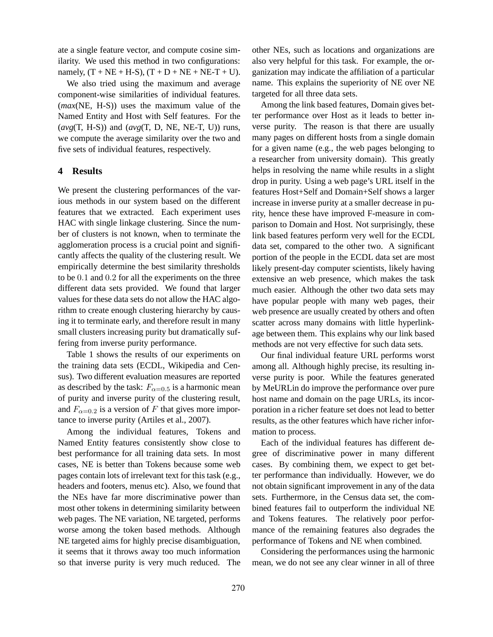ate a single feature vector, and compute cosine similarity. We used this method in two configurations: namely,  $(T + NE + H-S)$ ,  $(T + D + NE + NE-T + U)$ .

We also tried using the maximum and average component-wise similarities of individual features. (*max*(NE, H-S)) uses the maximum value of the Named Entity and Host with Self features. For the (*avg*(T, H-S)) and (*avg*(T, D, NE, NE-T, U)) runs, we compute the average similarity over the two and five sets of individual features, respectively.

#### **4 Results**

We present the clustering performances of the various methods in our system based on the different features that we extracted. Each experiment uses HAC with single linkage clustering. Since the number of clusters is not known, when to terminate the agglomeration process is a crucial point and significantly affects the quality of the clustering result. We empirically determine the best similarity thresholds to be 0.1 and 0.2 for all the experiments on the three different data sets provided. We found that larger values for these data sets do not allow the HAC algorithm to create enough clustering hierarchy by causing it to terminate early, and therefore result in many small clusters increasing purity but dramatically suffering from inverse purity performance.

Table 1 shows the results of our experiments on the training data sets (ECDL, Wikipedia and Census). Two different evaluation measures are reported as described by the task:  $F_{\alpha=0.5}$  is a harmonic mean of purity and inverse purity of the clustering result, and  $F_{\alpha=0.2}$  is a version of F that gives more importance to inverse purity (Artiles et al., 2007).

Among the individual features, Tokens and Named Entity features consistently show close to best performance for all training data sets. In most cases, NE is better than Tokens because some web pages contain lots of irrelevant text for this task (e.g., headers and footers, menus etc). Also, we found that the NEs have far more discriminative power than most other tokens in determining similarity between web pages. The NE variation, NE targeted, performs worse among the token based methods. Although NE targeted aims for highly precise disambiguation, it seems that it throws away too much information so that inverse purity is very much reduced. The other NEs, such as locations and organizations are also very helpful for this task. For example, the organization may indicate the affiliation of a particular name. This explains the superiority of NE over NE targeted for all three data sets.

Among the link based features, Domain gives better performance over Host as it leads to better inverse purity. The reason is that there are usually many pages on different hosts from a single domain for a given name (e.g., the web pages belonging to a researcher from university domain). This greatly helps in resolving the name while results in a slight drop in purity. Using a web page's URL itself in the features Host+Self and Domain+Self shows a larger increase in inverse purity at a smaller decrease in purity, hence these have improved F-measure in comparison to Domain and Host. Not surprisingly, these link based features perform very well for the ECDL data set, compared to the other two. A significant portion of the people in the ECDL data set are most likely present-day computer scientists, likely having extensive an web presence, which makes the task much easier. Although the other two data sets may have popular people with many web pages, their web presence are usually created by others and often scatter across many domains with little hyperlinkage between them. This explains why our link based methods are not very effective for such data sets.

Our final individual feature URL performs worst among all. Although highly precise, its resulting inverse purity is poor. While the features generated by MeURLin do improve the performance over pure host name and domain on the page URLs, its incorporation in a richer feature set does not lead to better results, as the other features which have richer information to process.

Each of the individual features has different degree of discriminative power in many different cases. By combining them, we expect to get better performance than individually. However, we do not obtain significant improvement in any of the data sets. Furthermore, in the Census data set, the combined features fail to outperform the individual NE and Tokens features. The relatively poor performance of the remaining features also degrades the performance of Tokens and NE when combined.

Considering the performances using the harmonic mean, we do not see any clear winner in all of three